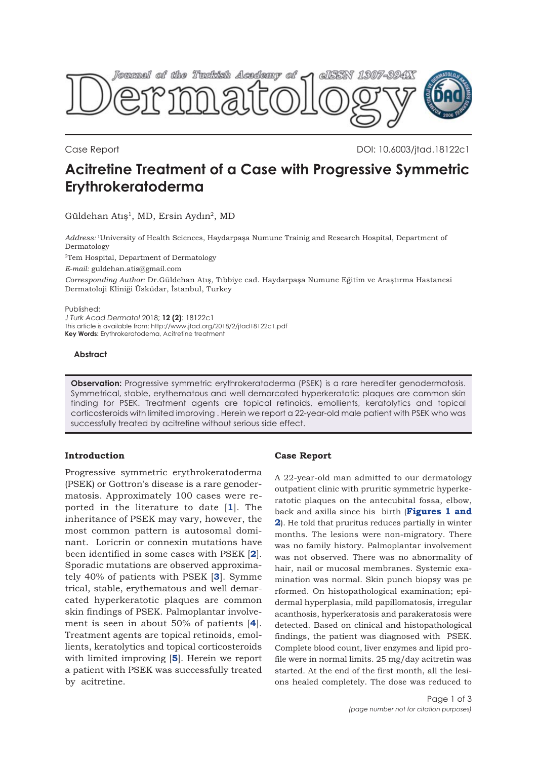

Case Report DOI: 10.6003/jtad.18122c1

# **Acitretine Treatment of a Case with Progressive Symmetric Erythrokeratoderma**

Güldehan Atış<sup>1</sup>, MD, Ersin Aydın<sup>2</sup>, MD

*Address:* 1University of Health Sciences, Haydarpaşa Numune Trainig and Research Hospital, Department of Dermatology

2Tem Hospital, Department of Dermatology

*E-mail:* guldehan.atis@gmail.com

*Corresponding Author:* Dr.Güldehan Atış, Tıbbiye cad. Haydarpaşa Numune Eğitim ve Araştırma Hastanesi Dermatoloji Kliniği Üsküdar, İstanbul, Turkey

Published:

*J Turk Acad Dermatol* 2018; **12 (2)**: 18122c1 This article is available from: http://www.jtad.org/2018/2/jtad18122c1.pdf **Key Words:** Erythrokeratodema, Acitretine treatment

#### **Abstract**

**Observation:** Progressive symmetric erythrokeratoderma (PSEK) is a rare herediter genodermatosis. Symmetrical, stable, erythematous and well demarcated hyperkeratotic plaques are common skin finding for PSEK. Treatment agents are topical retinoids, emollients, keratolytics and topical corticosteroids with limited improving . Herein we report a 22-year-old male patient with PSEK who was successfully treated by acitretine without serious side effect.

## **Introduction**

Progressive symmetric erythrokeratoderma (PSEK) or Gottron's disease is a rare genodermatosis. Approximately 100 cases were reported in the literature to date [**[1](#page-1-0)**]. The inheritance of PSEK may vary, however, the most common pattern is autosomal dominant. Loricrin or connexin mutations have been identified in some cases with PSEK [**[2](#page-1-0)**]. Sporadic mutations are observed approximately 40% of patients with PSEK [**[3](#page-2-0)**]. Symme trical, stable, erythematous and well demarcated hyperkeratotic plaques are common skin findings of PSEK. Palmoplantar involvement is seen in about 50% of patients [**[4](#page-2-0)**]. Treatment agents are topical retinoids, emollients, keratolytics and topical corticosteroids with limited improving [**[5](#page-2-0)**]. Herein we report a patient with PSEK was successfully treated by acitretine.

## **Case Report**

A 22-year-old man admitted to our dermatology outpatient clinic with pruritic symmetric hyperkeratotic plaques on the antecubital fossa, elbow, back and axilla since his birth (**[Figures 1](#page-1-0) and 2**[\). He told that pruritus reduces partially in winter](#page-1-0) months. The lesions were non-migratory. There was no family history. Palmoplantar involvement was not observed. There was no abnormality of hair, nail or mucosal membranes. Systemic examination was normal. Skin punch biopsy was pe rformed. On histopathological examination; epidermal hyperplasia, mild papillomatosis, irregular acanthosis, hyperkeratosis and parakeratosis were detected. Based on clinical and histopathological findings, the patient was diagnosed with PSEK. Complete blood count, liver enzymes and lipid profile were in normal limits. 25 mg/day acitretin was started. At the end of the first month, all the lesions healed completely. The dose was reduced to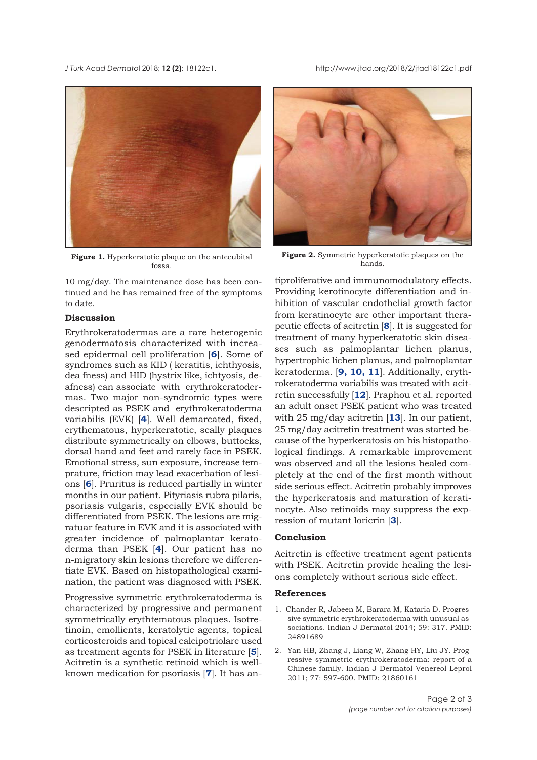<span id="page-1-0"></span>*J Turk Acad Dermato*l 2018; **12 (2)**: 18122c1. http://www.jtad.org/2018/2/jtad18122c1.pdf



**Figure 1.** Hyperkeratotic plaque on the antecubital fossa.

10 mg/day. The maintenance dose has been continued and he has remained free of the symptoms to date.

#### **Discussion**

Erythrokeratodermas are a rare heterogenic genodermatosis characterized with increased epidermal cell proliferation [**[6](#page-2-0)**]. Some of syndromes such as KID ( keratitis, ichthyosis, dea fness) and HID (hystrix like, ichtyosis, deafness) can associate with erythrokeratodermas. Two major non-syndromic types were descripted as PSEK and erythrokeratoderma variabilis (EVK) [**[4](#page-2-0)**]. Well demarcated, fixed, erythematous, hyperkeratotic, scally plaques distribute symmetrically on elbows, buttocks, dorsal hand and feet and rarely face in PSEK. Emotional stress, sun exposure, increase temprature, friction may lead exacerbation of lesions [**[6](#page-2-0)**]. Pruritus is reduced partially in winter months in our patient. Pityriasis rubra pilaris, psoriasis vulgaris, especially EVK should be differentiated from PSEK. The lesions are migratuar feature in EVK and it is associated with greater incidence of palmoplantar keratoderma than PSEK [**[4](#page-2-0)**]. Our patient has no n-migratory skin lesions therefore we differentiate EVK. Based on histopathological examination, the patient was diagnosed with PSEK.

Progressive symmetric erythrokeratoderma is characterized by progressive and permanent symmetrically erythtematous plaques. Isotretinoin, emollients, keratolytic agents, topical corticosteroids and topical calcipotriolare used as treatment agents for PSEK in literature [**[5](#page-2-0)**]. Acitretin is a synthetic retinoid which is wellknown medication for psoriasis [**[7](#page-2-0)**]. It has an-



**Figure 2.** Symmetric hyperkeratotic plaques on the hands.

tiproliferative and immunomodulatory effects. Providing kerotinocyte differentiation and inhibition of vascular endothelial growth factor from keratinocyte are other important therapeutic effects of acitretin [**[8](#page-2-0)**]. It is suggested for treatment of many hyperkeratotic skin diseases such as palmoplantar lichen planus, hypertrophic lichen planus, and palmoplantar keratoderma. [**[9, 10](#page-2-0), [11](#page-2-0)**]. Additionally, erythrokeratoderma variabilis was treated with acitretin successfully [**[12](#page-2-0)**]. Praphou et al. reported an adult onset PSEK patient who was treated with 25 mg/day acitretin [**[13](#page-2-0)**]. In our patient, 25 mg/day acitretin treatment was started because of the hyperkeratosis on his histopathological findings. A remarkable improvement was observed and all the lesions healed completely at the end of the first month without side serious effect. Acitretin probably improves the hyperkeratosis and maturation of keratinocyte. Also retinoids may suppress the expression of mutant loricrin [**[3](#page-2-0)**].

## **Conclusion**

Acitretin is effective treatment agent patients with PSEK. Acitretin provide healing the lesions completely without serious side effect.

#### **References**

- 1. Chander R, Jabeen M, Barara M, Kataria D. Progressive symmetric erythrokeratoderma with unusual associations. Indian J Dermatol 2014; 59: 317. PMID: 24891689
- 2. Yan HB, Zhang J, Liang W, Zhang HY, Liu JY. Progressive symmetric erythrokeratoderma: report of a Chinese family. Indian J Dermatol Venereol Leprol 2011; 77: 597-600. PMID: 21860161